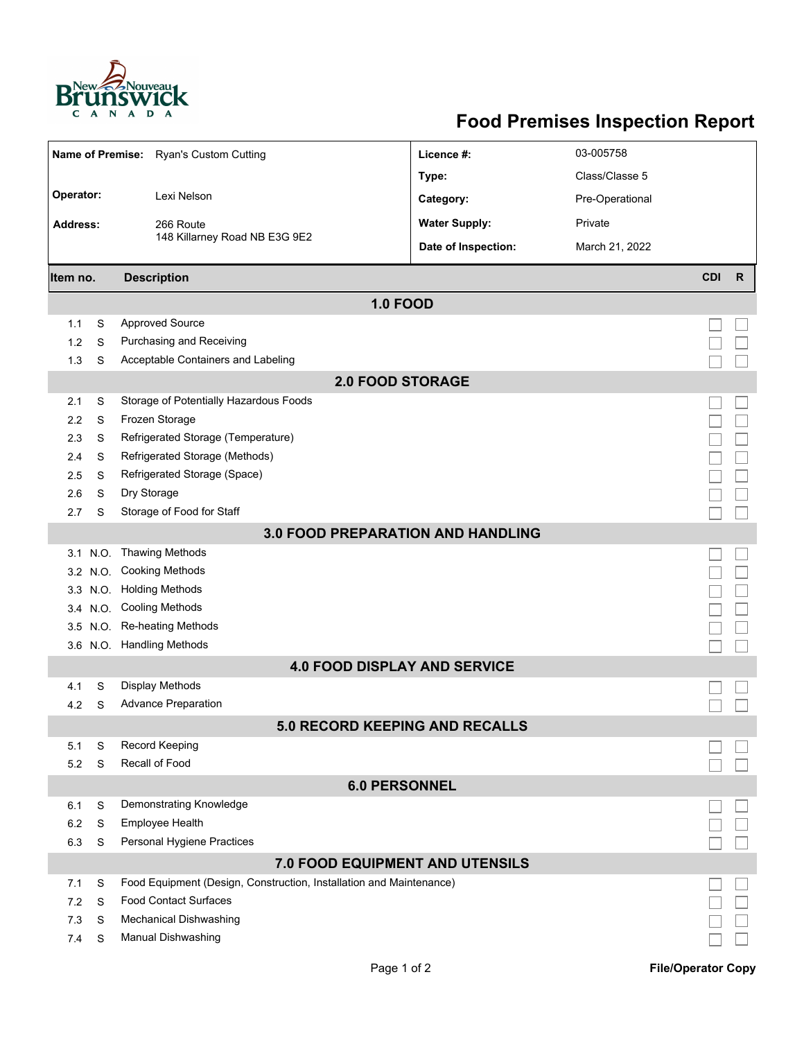

## **Food Premises Inspection Report**

| Name of Premise: Ryan's Custom Cutting |   | Licence #:                                                          | 03-005758            |                 |            |   |  |  |  |  |  |
|----------------------------------------|---|---------------------------------------------------------------------|----------------------|-----------------|------------|---|--|--|--|--|--|
|                                        |   |                                                                     | Type:                | Class/Classe 5  |            |   |  |  |  |  |  |
| Operator:                              |   | Lexi Nelson                                                         | Category:            | Pre-Operational |            |   |  |  |  |  |  |
| Address:                               |   | 266 Route                                                           | <b>Water Supply:</b> | Private         |            |   |  |  |  |  |  |
|                                        |   | 148 Killarney Road NB E3G 9E2                                       | Date of Inspection:  | March 21, 2022  |            |   |  |  |  |  |  |
| Item no.                               |   | <b>Description</b>                                                  |                      |                 | <b>CDI</b> | R |  |  |  |  |  |
|                                        |   | <b>1.0 FOOD</b>                                                     |                      |                 |            |   |  |  |  |  |  |
| 1.1                                    | S | <b>Approved Source</b>                                              |                      |                 |            |   |  |  |  |  |  |
| 1.2                                    | S | Purchasing and Receiving                                            |                      |                 |            |   |  |  |  |  |  |
| 1.3                                    | S | Acceptable Containers and Labeling                                  |                      |                 |            |   |  |  |  |  |  |
|                                        |   | <b>2.0 FOOD STORAGE</b>                                             |                      |                 |            |   |  |  |  |  |  |
| 2.1                                    | S | Storage of Potentially Hazardous Foods                              |                      |                 |            |   |  |  |  |  |  |
| 2.2                                    | S | Frozen Storage                                                      |                      |                 |            |   |  |  |  |  |  |
| 2.3                                    | S | Refrigerated Storage (Temperature)                                  |                      |                 |            |   |  |  |  |  |  |
| 2.4                                    | S | Refrigerated Storage (Methods)                                      |                      |                 |            |   |  |  |  |  |  |
| 2.5                                    | S | Refrigerated Storage (Space)                                        |                      |                 |            |   |  |  |  |  |  |
| 2.6                                    | S | Dry Storage                                                         |                      |                 |            |   |  |  |  |  |  |
| 2.7                                    | S | Storage of Food for Staff                                           |                      |                 |            |   |  |  |  |  |  |
| 3.0 FOOD PREPARATION AND HANDLING      |   |                                                                     |                      |                 |            |   |  |  |  |  |  |
|                                        |   | 3.1 N.O. Thawing Methods                                            |                      |                 |            |   |  |  |  |  |  |
|                                        |   | 3.2 N.O. Cooking Methods                                            |                      |                 |            |   |  |  |  |  |  |
|                                        |   | 3.3 N.O. Holding Methods                                            |                      |                 |            |   |  |  |  |  |  |
|                                        |   | 3.4 N.O. Cooling Methods                                            |                      |                 |            |   |  |  |  |  |  |
|                                        |   | 3.5 N.O. Re-heating Methods                                         |                      |                 |            |   |  |  |  |  |  |
|                                        |   | 3.6 N.O. Handling Methods                                           |                      |                 |            |   |  |  |  |  |  |
|                                        |   | <b>4.0 FOOD DISPLAY AND SERVICE</b>                                 |                      |                 |            |   |  |  |  |  |  |
| 4.1                                    | S | Display Methods                                                     |                      |                 |            |   |  |  |  |  |  |
| 4.2                                    | S | <b>Advance Preparation</b>                                          |                      |                 |            |   |  |  |  |  |  |
|                                        |   | 5.0 RECORD KEEPING AND RECALLS                                      |                      |                 |            |   |  |  |  |  |  |
| 5.1                                    | S | Record Keeping                                                      |                      |                 |            |   |  |  |  |  |  |
| 5.2                                    | S | Recall of Food                                                      |                      |                 |            |   |  |  |  |  |  |
| <b>6.0 PERSONNEL</b>                   |   |                                                                     |                      |                 |            |   |  |  |  |  |  |
| 6.1                                    | S | Demonstrating Knowledge                                             |                      |                 |            |   |  |  |  |  |  |
| 6.2                                    | S | Employee Health                                                     |                      |                 |            |   |  |  |  |  |  |
| 6.3                                    | S | Personal Hygiene Practices                                          |                      |                 |            |   |  |  |  |  |  |
|                                        |   | 7.0 FOOD EQUIPMENT AND UTENSILS                                     |                      |                 |            |   |  |  |  |  |  |
| 7.1                                    | S | Food Equipment (Design, Construction, Installation and Maintenance) |                      |                 |            |   |  |  |  |  |  |
| 7.2                                    | S | <b>Food Contact Surfaces</b>                                        |                      |                 |            |   |  |  |  |  |  |
| 7.3                                    | S | <b>Mechanical Dishwashing</b>                                       |                      |                 |            |   |  |  |  |  |  |
| 7.4                                    | S | <b>Manual Dishwashing</b>                                           |                      |                 |            |   |  |  |  |  |  |